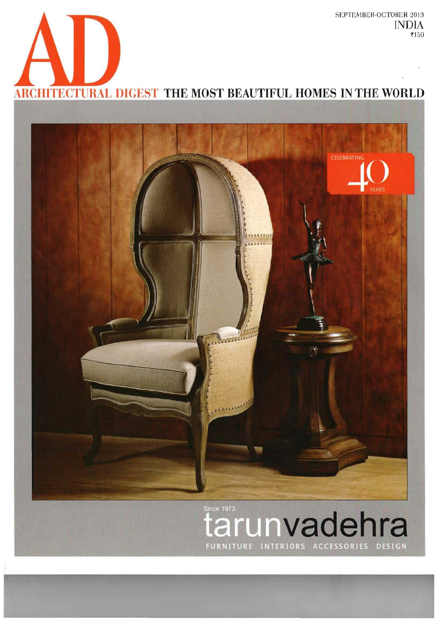